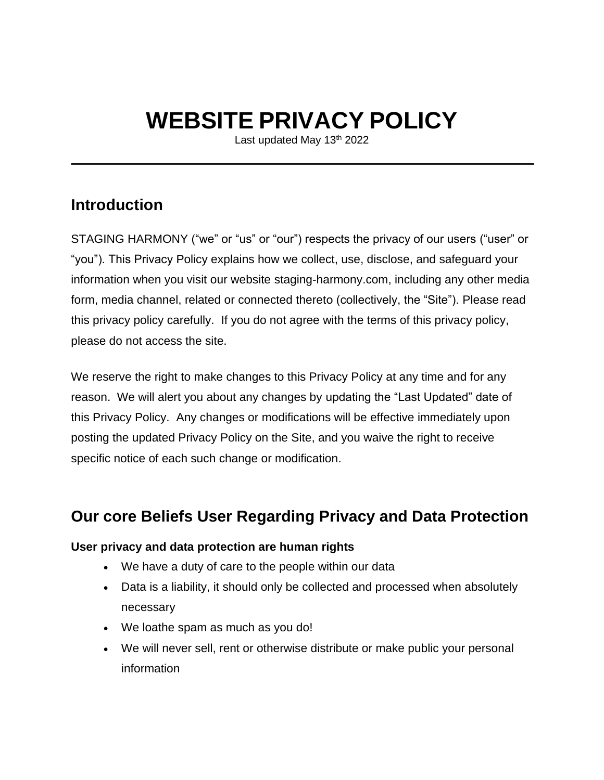# **WEBSITE PRIVACY POLICY**

Last updated May 13<sup>th</sup> 2022

### **Introduction**

STAGING HARMONY ("we" or "us" or "our") respects the privacy of our users ("user" or "you"). This Privacy Policy explains how we collect, use, disclose, and safeguard your information when you visit our website staging-harmony.com, including any other media form, media channel, related or connected thereto (collectively, the "Site"). Please read this privacy policy carefully. If you do not agree with the terms of this privacy policy, please do not access the site.

We reserve the right to make changes to this Privacy Policy at any time and for any reason. We will alert you about any changes by updating the "Last Updated" date of this Privacy Policy. Any changes or modifications will be effective immediately upon posting the updated Privacy Policy on the Site, and you waive the right to receive specific notice of each such change or modification.

### **Our core Beliefs User Regarding Privacy and Data Protection**

#### **User privacy and data protection are human rights**

- We have a duty of care to the people within our data
- Data is a liability, it should only be collected and processed when absolutely necessary
- We loathe spam as much as you do!
- We will never sell, rent or otherwise distribute or make public your personal information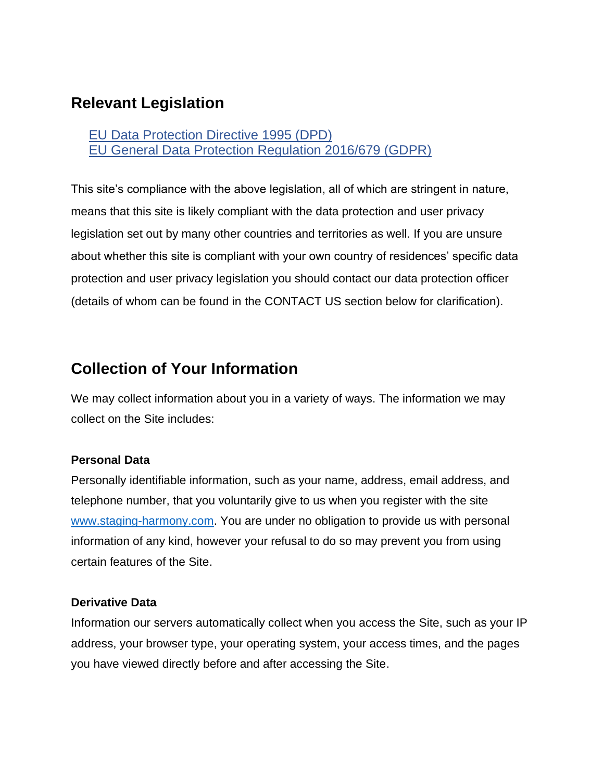### **Relevant Legislation**

EU Data [Protection](http://eur-lex.europa.eu/legal-content/en/ALL/?uri=CELEX:31995L0046) Directive 1995 (DPD) EU General Data Protection [Regulation](http://eur-lex.europa.eu/legal-content/EN/TXT/?uri=uriserv:OJ.L_.2016.119.01.0001.01.ENG&toc=OJ:L:2016:119:TOC) 2016/679 (GDPR)

This site's compliance with the above legislation, all of which are stringent in nature, means that this site is likely compliant with the data protection and user privacy legislation set out by many other countries and territories as well. If you are unsure about whether this site is compliant with your own country of residences' specific data protection and user privacy legislation you should contact our data protection officer (details of whom can be found in the CONTACT US section below for clarification).

### **Collection of Your Information**

We may collect information about you in a variety of ways. The information we may collect on the Site includes:

#### **Personal Data**

Personally identifiable information, such as your name, address, email address, and telephone number, that you voluntarily give to us when you register with the site [www.staging-harmony.com.](http://www.staging-harmony.com/) You are under no obligation to provide us with personal information of any kind, however your refusal to do so may prevent you from using certain features of the Site.

#### **Derivative Data**

Information our servers automatically collect when you access the Site, such as your IP address, your browser type, your operating system, your access times, and the pages you have viewed directly before and after accessing the Site.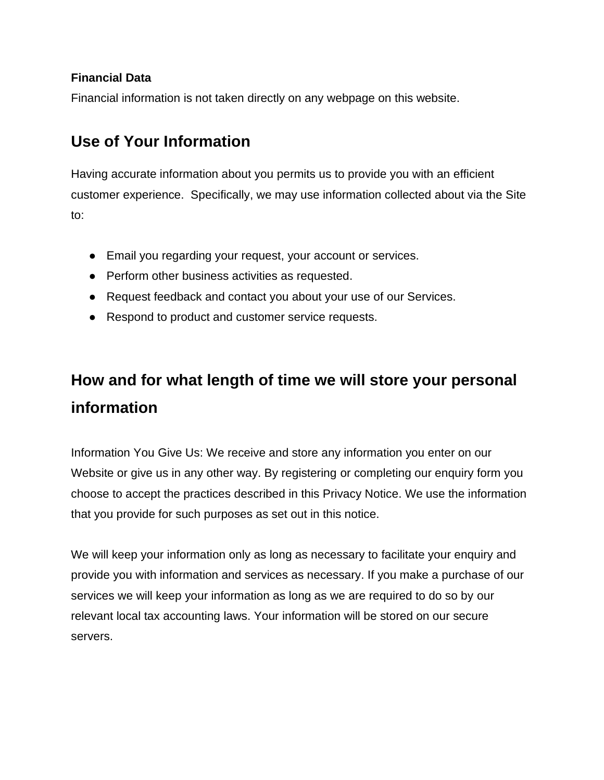#### **Financial Data**

Financial information is not taken directly on any webpage on this website.

### **Use of Your Information**

Having accurate information about you permits us to provide you with an efficient customer experience. Specifically, we may use information collected about via the Site to:

- Email you regarding your request, your account or services.
- Perform other business activities as requested.
- Request feedback and contact you about your use of our Services.
- Respond to product and customer service requests.

## **How and for what length of time we will store your personal information**

Information You Give Us: We receive and store any information you enter on our Website or give us in any other way. By registering or completing our enquiry form you choose to accept the practices described in this Privacy Notice. We use the information that you provide for such purposes as set out in this notice.

We will keep your information only as long as necessary to facilitate your enquiry and provide you with information and services as necessary. If you make a purchase of our services we will keep your information as long as we are required to do so by our relevant local tax accounting laws. Your information will be stored on our secure servers.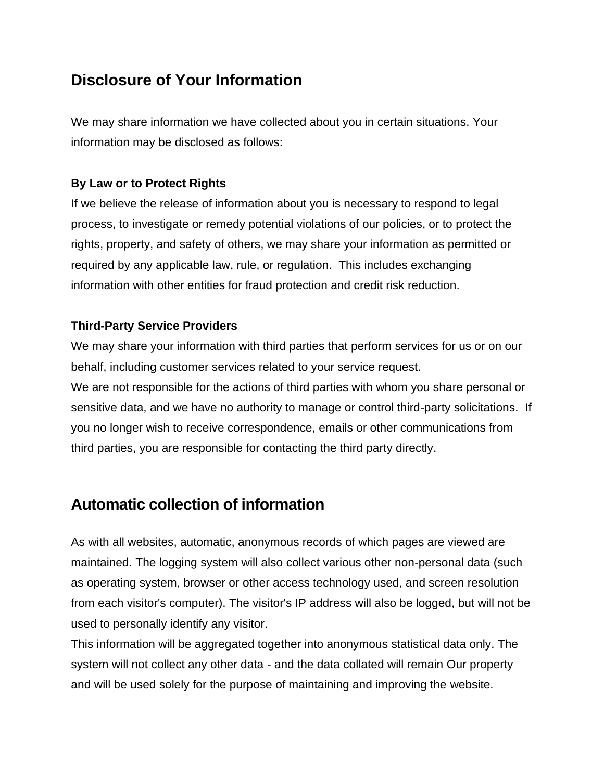### **Disclosure of Your Information**

We may share information we have collected about you in certain situations. Your information may be disclosed as follows:

#### **By Law or to Protect Rights**

If we believe the release of information about you is necessary to respond to legal process, to investigate or remedy potential violations of our policies, or to protect the rights, property, and safety of others, we may share your information as permitted or required by any applicable law, rule, or regulation. This includes exchanging information with other entities for fraud protection and credit risk reduction.

#### **Third-Party Service Providers**

We may share your information with third parties that perform services for us or on our behalf, including customer services related to your service request. We are not responsible for the actions of third parties with whom you share personal or

sensitive data, and we have no authority to manage or control third-party solicitations. If you no longer wish to receive correspondence, emails or other communications from third parties, you are responsible for contacting the third party directly.

### **Automatic collection of information**

As with all websites, automatic, anonymous records of which pages are viewed are maintained. The logging system will also collect various other non-personal data (such as operating system, browser or other access technology used, and screen resolution from each visitor's computer). The visitor's IP address will also be logged, but will not be used to personally identify any visitor.

This information will be aggregated together into anonymous statistical data only. The system will not collect any other data - and the data collated will remain Our property and will be used solely for the purpose of maintaining and improving the website.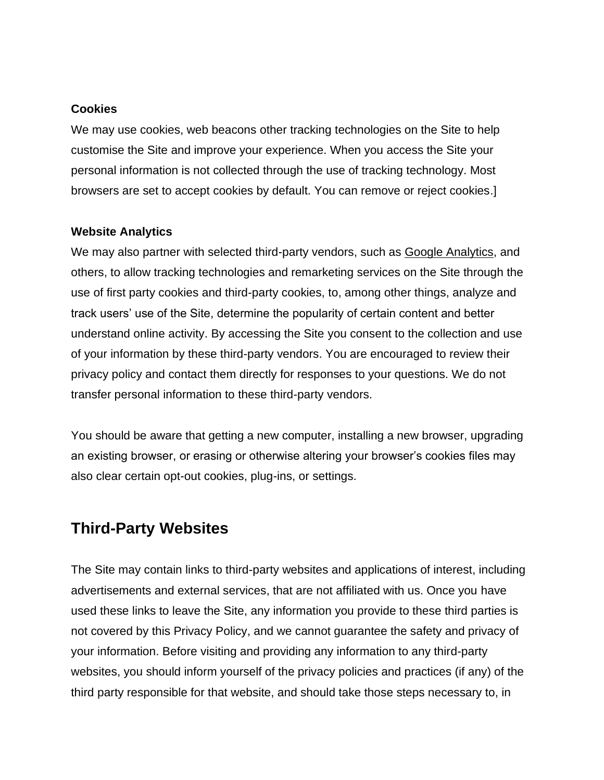#### **Cookies**

We may use cookies, web beacons other tracking technologies on the Site to help customise the Site and improve your experience. When you access the Site your personal information is not collected through the use of tracking technology. Most browsers are set to accept cookies by default. You can remove or reject cookies.]

#### **Website Analytics**

We may also partner with selected third-party vendors, such as [Google Analytics,](https://support.google.com/analytics/answer/6004245?hl=en) and others, to allow tracking technologies and remarketing services on the Site through the use of first party cookies and third-party cookies, to, among other things, analyze and track users' use of the Site, determine the popularity of certain content and better understand online activity. By accessing the Site you consent to the collection and use of your information by these third-party vendors. You are encouraged to review their privacy policy and contact them directly for responses to your questions. We do not transfer personal information to these third-party vendors.

You should be aware that getting a new computer, installing a new browser, upgrading an existing browser, or erasing or otherwise altering your browser's cookies files may also clear certain opt-out cookies, plug-ins, or settings.

### **Third-Party Websites**

The Site may contain links to third-party websites and applications of interest, including advertisements and external services, that are not affiliated with us. Once you have used these links to leave the Site, any information you provide to these third parties is not covered by this Privacy Policy, and we cannot guarantee the safety and privacy of your information. Before visiting and providing any information to any third-party websites, you should inform yourself of the privacy policies and practices (if any) of the third party responsible for that website, and should take those steps necessary to, in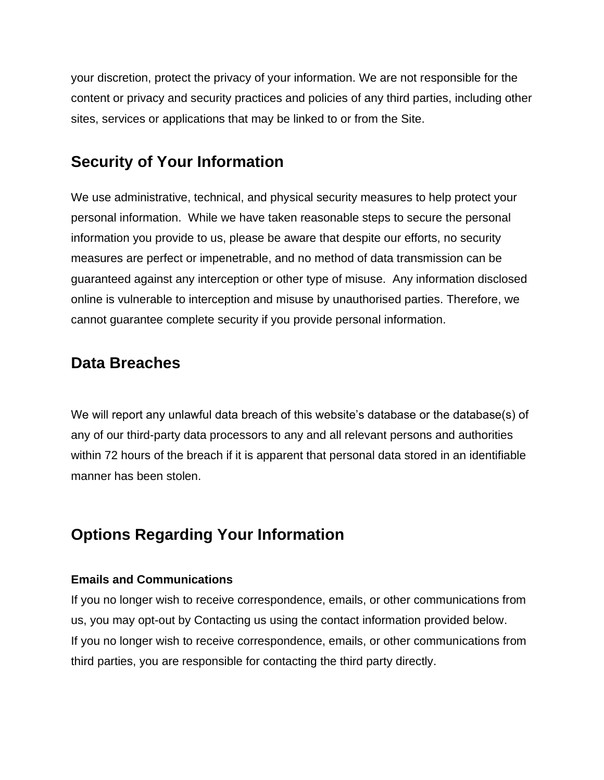your discretion, protect the privacy of your information. We are not responsible for the content or privacy and security practices and policies of any third parties, including other sites, services or applications that may be linked to or from the Site.

### **Security of Your Information**

We use administrative, technical, and physical security measures to help protect your personal information. While we have taken reasonable steps to secure the personal information you provide to us, please be aware that despite our efforts, no security measures are perfect or impenetrable, and no method of data transmission can be guaranteed against any interception or other type of misuse. Any information disclosed online is vulnerable to interception and misuse by unauthorised parties. Therefore, we cannot guarantee complete security if you provide personal information.

### **Data Breaches**

We will report any unlawful data breach of this website's database or the database(s) of any of our third-party data processors to any and all relevant persons and authorities within 72 hours of the breach if it is apparent that personal data stored in an identifiable manner has been stolen.

### **Options Regarding Your Information**

#### **Emails and Communications**

If you no longer wish to receive correspondence, emails, or other communications from us, you may opt-out by Contacting us using the contact information provided below. If you no longer wish to receive correspondence, emails, or other communications from third parties, you are responsible for contacting the third party directly.